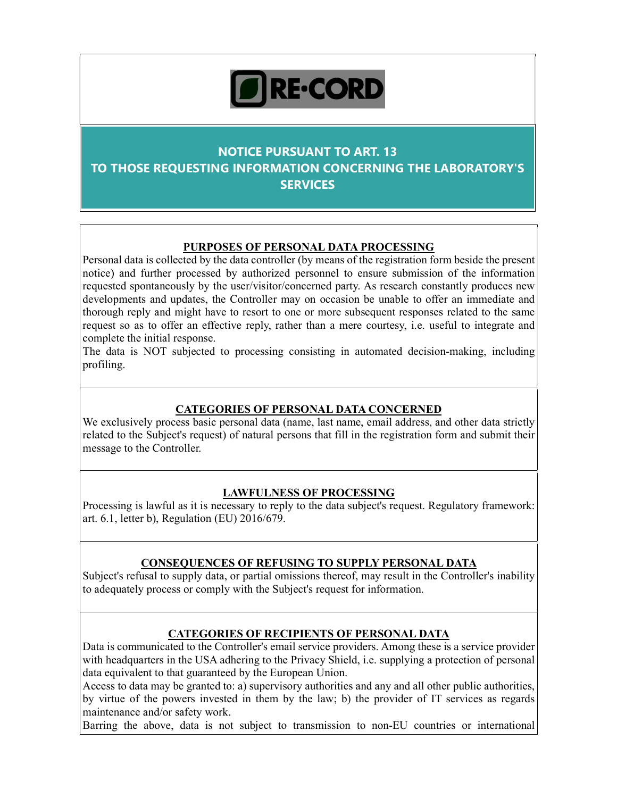# RE-CORD

# NOTICE PURSUANT TO ART. 13 TO THOSE REQUESTING INFORMATION CONCERNING THE LABORATORY'S **SERVICES**

## PURPOSES OF PERSONAL DATA PROCESSING

Personal data is collected by the data controller (by means of the registration form beside the present notice) and further processed by authorized personnel to ensure submission of the information requested spontaneously by the user/visitor/concerned party. As research constantly produces new developments and updates, the Controller may on occasion be unable to offer an immediate and thorough reply and might have to resort to one or more subsequent responses related to the same request so as to offer an effective reply, rather than a mere courtesy, i.e. useful to integrate and complete the initial response.

The data is NOT subjected to processing consisting in automated decision-making, including profiling.

#### CATEGORIES OF PERSONAL DATA CONCERNED

We exclusively process basic personal data (name, last name, email address, and other data strictly related to the Subject's request) of natural persons that fill in the registration form and submit their message to the Controller.

#### LAWFULNESS OF PROCESSING

Processing is lawful as it is necessary to reply to the data subject's request. Regulatory framework: art. 6.1, letter b), Regulation (EU) 2016/679.

## CONSEQUENCES OF REFUSING TO SUPPLY PERSONAL DATA

Subject's refusal to supply data, or partial omissions thereof, may result in the Controller's inability to adequately process or comply with the Subject's request for information.

## CATEGORIES OF RECIPIENTS OF PERSONAL DATA

Data is communicated to the Controller's email service providers. Among these is a service provider with headquarters in the USA adhering to the Privacy Shield, i.e. supplying a protection of personal data equivalent to that guaranteed by the European Union.

Access to data may be granted to: a) supervisory authorities and any and all other public authorities, by virtue of the powers invested in them by the law; b) the provider of IT services as regards maintenance and/or safety work.

Barring the above, data is not subject to transmission to non-EU countries or international